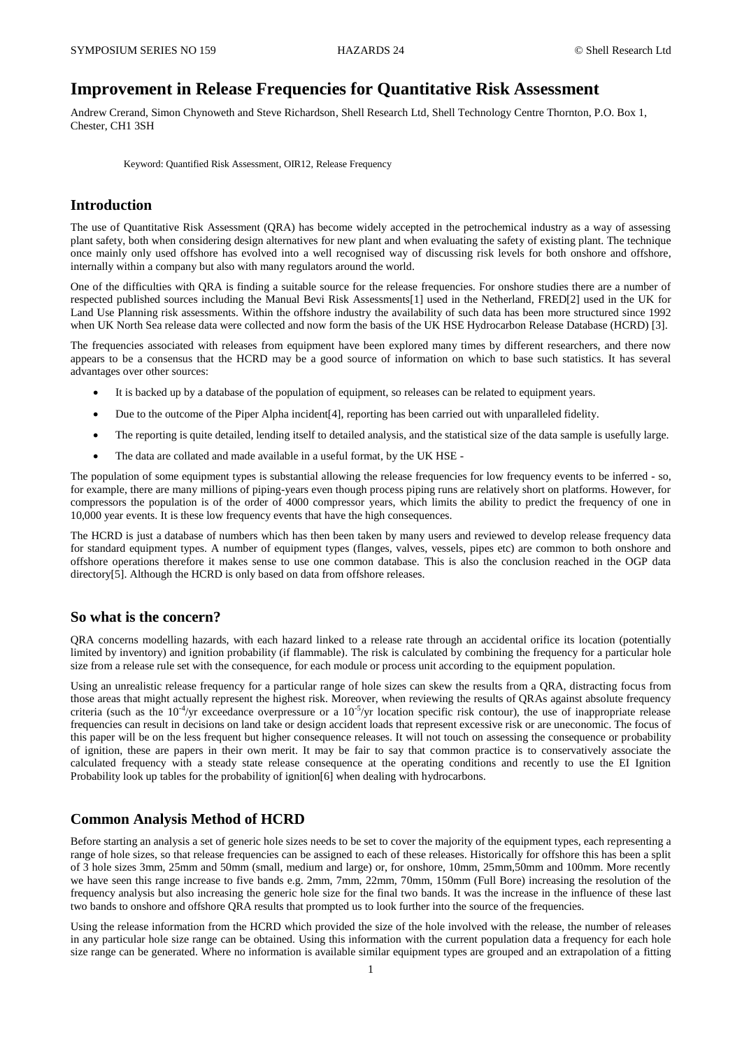# **Improvement in Release Frequencies for Quantitative Risk Assessment**

Andrew Crerand, Simon Chynoweth and Steve Richardson, Shell Research Ltd, Shell Technology Centre Thornton, P.O. Box 1, Chester, CH1 3SH

Keyword: Quantified Risk Assessment, OIR12, Release Frequency

# **Introduction**

The use of Quantitative Risk Assessment (QRA) has become widely accepted in the petrochemical industry as a way of assessing plant safety, both when considering design alternatives for new plant and when evaluating the safety of existing plant. The technique once mainly only used offshore has evolved into a well recognised way of discussing risk levels for both onshore and offshore, internally within a company but also with many regulators around the world.

One of the difficulties with QRA is finding a suitable source for the release frequencies. For onshore studies there are a number of respected published sources including the Manual Bevi Risk Assessments[1] used in the Netherland, FRED[2] used in the UK for Land Use Planning risk assessments. Within the offshore industry the availability of such data has been more structured since 1992 when UK North Sea release data were collected and now form the basis of the UK HSE Hydrocarbon Release Database (HCRD) [3].

The frequencies associated with releases from equipment have been explored many times by different researchers, and there now appears to be a consensus that the HCRD may be a good source of information on which to base such statistics. It has several advantages over other sources:

- It is backed up by a database of the population of equipment, so releases can be related to equipment years.
- Due to the outcome of the Piper Alpha incident[4], reporting has been carried out with unparalleled fidelity.
- The reporting is quite detailed, lending itself to detailed analysis, and the statistical size of the data sample is usefully large.
- The data are collated and made available in a useful format, by the UK HSE -

The population of some equipment types is substantial allowing the release frequencies for low frequency events to be inferred - so, for example, there are many millions of piping-years even though process piping runs are relatively short on platforms. However, for compressors the population is of the order of 4000 compressor years, which limits the ability to predict the frequency of one in 10,000 year events. It is these low frequency events that have the high consequences.

The HCRD is just a database of numbers which has then been taken by many users and reviewed to develop release frequency data for standard equipment types. A number of equipment types (flanges, valves, vessels, pipes etc) are common to both onshore and offshore operations therefore it makes sense to use one common database. This is also the conclusion reached in the OGP data directory[5]. Although the HCRD is only based on data from offshore releases.

#### **So what is the concern?**

QRA concerns modelling hazards, with each hazard linked to a release rate through an accidental orifice its location (potentially limited by inventory) and ignition probability (if flammable). The risk is calculated by combining the frequency for a particular hole size from a release rule set with the consequence, for each module or process unit according to the equipment population.

Using an unrealistic release frequency for a particular range of hole sizes can skew the results from a QRA, distracting focus from those areas that might actually represent the highest risk. Moreover, when reviewing the results of QRAs against absolute frequency criteria (such as the  $10^{-4}$ /yr exceedance overpressure or a  $10^{-5}$ /yr location specific risk contour), the use of inappropriate release frequencies can result in decisions on land take or design accident loads that represent excessive risk or are uneconomic. The focus of this paper will be on the less frequent but higher consequence releases. It will not touch on assessing the consequence or probability of ignition, these are papers in their own merit. It may be fair to say that common practice is to conservatively associate the calculated frequency with a steady state release consequence at the operating conditions and recently to use the EI Ignition Probability look up tables for the probability of ignition [6] when dealing with hydrocarbons.

# **Common Analysis Method of HCRD**

Before starting an analysis a set of generic hole sizes needs to be set to cover the majority of the equipment types, each representing a range of hole sizes, so that release frequencies can be assigned to each of these releases. Historically for offshore this has been a split of 3 hole sizes 3mm, 25mm and 50mm (small, medium and large) or, for onshore, 10mm, 25mm,50mm and 100mm. More recently we have seen this range increase to five bands e.g. 2mm, 7mm, 22mm, 70mm, 150mm (Full Bore) increasing the resolution of the frequency analysis but also increasing the generic hole size for the final two bands. It was the increase in the influence of these last two bands to onshore and offshore QRA results that prompted us to look further into the source of the frequencies.

Using the release information from the HCRD which provided the size of the hole involved with the release, the number of releases in any particular hole size range can be obtained. Using this information with the current population data a frequency for each hole size range can be generated. Where no information is available similar equipment types are grouped and an extrapolation of a fitting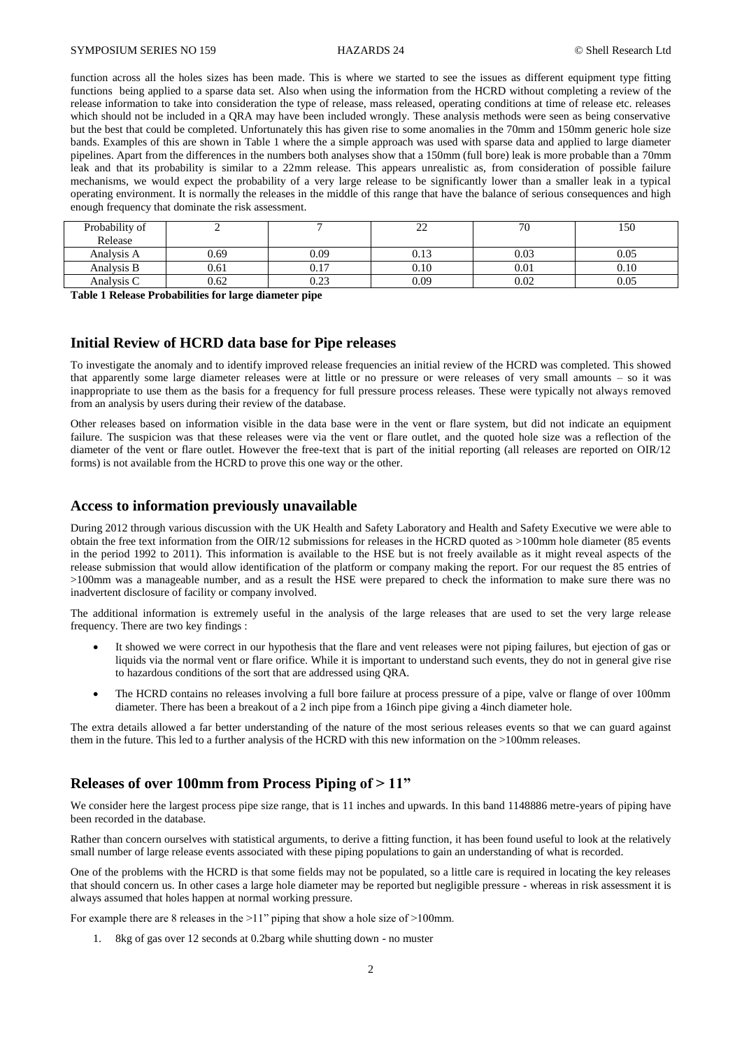function across all the holes sizes has been made. This is where we started to see the issues as different equipment type fitting functions being applied to a sparse data set. Also when using the information from the HCRD without completing a review of the release information to take into consideration the type of release, mass released, operating conditions at time of release etc. releases which should not be included in a QRA may have been included wrongly. These analysis methods were seen as being conservative but the best that could be completed. Unfortunately this has given rise to some anomalies in the 70mm and 150mm generic hole size bands. Examples of this are shown in [Table 1](#page-1-0) where the a simple approach was used with sparse data and applied to large diameter pipelines. Apart from the differences in the numbers both analyses show that a 150mm (full bore) leak is more probable than a 70mm leak and that its probability is similar to a 22mm release. This appears unrealistic as, from consideration of possible failure mechanisms, we would expect the probability of a very large release to be significantly lower than a smaller leak in a typical operating environment. It is normally the releases in the middle of this range that have the balance of serious consequences and high enough frequency that dominate the risk assessment.

| Probability of<br>Release |      |      | nη<br>-- | 70   | 150  |
|---------------------------|------|------|----------|------|------|
| Analysis A                | 0.69 | 0.09 | 0.13     | 0.03 | 0.05 |
| Analysis B                | 0.61 | 0.17 | 0.10     | 0.01 | 0.10 |
| Analysis C                | 0.62 | 0.23 | 0.09     | 0.02 | 0.05 |

<span id="page-1-0"></span>**Table 1 Release Probabilities for large diameter pipe**

#### **Initial Review of HCRD data base for Pipe releases**

To investigate the anomaly and to identify improved release frequencies an initial review of the HCRD was completed. This showed that apparently some large diameter releases were at little or no pressure or were releases of very small amounts – so it was inappropriate to use them as the basis for a frequency for full pressure process releases. These were typically not always removed from an analysis by users during their review of the database.

Other releases based on information visible in the data base were in the vent or flare system, but did not indicate an equipment failure. The suspicion was that these releases were via the vent or flare outlet, and the quoted hole size was a reflection of the diameter of the vent or flare outlet. However the free-text that is part of the initial reporting (all releases are reported on OIR/12 forms) is not available from the HCRD to prove this one way or the other.

#### **Access to information previously unavailable**

During 2012 through various discussion with the UK Health and Safety Laboratory and Health and Safety Executive we were able to obtain the free text information from the OIR/12 submissions for releases in the HCRD quoted as >100mm hole diameter (85 events in the period 1992 to 2011). This information is available to the HSE but is not freely available as it might reveal aspects of the release submission that would allow identification of the platform or company making the report. For our request the 85 entries of >100mm was a manageable number, and as a result the HSE were prepared to check the information to make sure there was no inadvertent disclosure of facility or company involved.

The additional information is extremely useful in the analysis of the large releases that are used to set the very large release frequency. There are two key findings :

- It showed we were correct in our hypothesis that the flare and vent releases were not piping failures, but ejection of gas or liquids via the normal vent or flare orifice. While it is important to understand such events, they do not in general give rise to hazardous conditions of the sort that are addressed using QRA.
- The HCRD contains no releases involving a full bore failure at process pressure of a pipe, valve or flange of over 100mm diameter. There has been a breakout of a 2 inch pipe from a 16inch pipe giving a 4inch diameter hole.

The extra details allowed a far better understanding of the nature of the most serious releases events so that we can guard against them in the future. This led to a further analysis of the HCRD with this new information on the >100mm releases.

#### **Releases of over 100mm from Process Piping of > 11"**

We consider here the largest process pipe size range, that is 11 inches and upwards. In this band 1148886 metre-years of piping have been recorded in the database.

Rather than concern ourselves with statistical arguments, to derive a fitting function, it has been found useful to look at the relatively small number of large release events associated with these piping populations to gain an understanding of what is recorded.

One of the problems with the HCRD is that some fields may not be populated, so a little care is required in locating the key releases that should concern us. In other cases a large hole diameter may be reported but negligible pressure - whereas in risk assessment it is always assumed that holes happen at normal working pressure.

For example there are 8 releases in the >11" piping that show a hole size of >100mm.

1. 8kg of gas over 12 seconds at 0.2barg while shutting down - no muster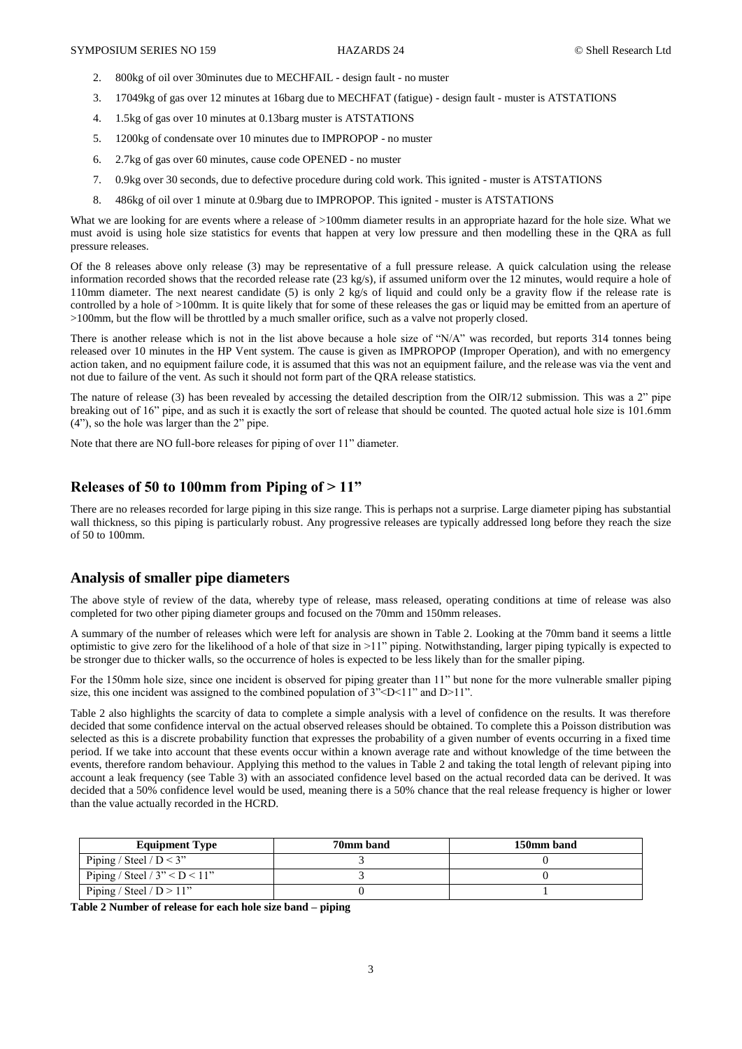- 2. 800kg of oil over 30minutes due to MECHFAIL design fault no muster
- 3. 17049kg of gas over 12 minutes at 16barg due to MECHFAT (fatigue) design fault muster is ATSTATIONS
- 4. 1.5kg of gas over 10 minutes at 0.13barg muster is ATSTATIONS
- 5. 1200kg of condensate over 10 minutes due to IMPROPOP no muster
- 6. 2.7kg of gas over 60 minutes, cause code OPENED no muster
- 7. 0.9kg over 30 seconds, due to defective procedure during cold work. This ignited muster is ATSTATIONS
- 8. 486kg of oil over 1 minute at 0.9barg due to IMPROPOP. This ignited muster is ATSTATIONS

What we are looking for are events where a release of >100mm diameter results in an appropriate hazard for the hole size. What we must avoid is using hole size statistics for events that happen at very low pressure and then modelling these in the QRA as full pressure releases.

Of the 8 releases above only release (3) may be representative of a full pressure release. A quick calculation using the release information recorded shows that the recorded release rate (23 kg/s), if assumed uniform over the 12 minutes, would require a hole of 110mm diameter. The next nearest candidate (5) is only 2 kg/s of liquid and could only be a gravity flow if the release rate is controlled by a hole of >100mm. It is quite likely that for some of these releases the gas or liquid may be emitted from an aperture of >100mm, but the flow will be throttled by a much smaller orifice, such as a valve not properly closed.

There is another release which is not in the list above because a hole size of "N/A" was recorded, but reports 314 tonnes being released over 10 minutes in the HP Vent system. The cause is given as IMPROPOP (Improper Operation), and with no emergency action taken, and no equipment failure code, it is assumed that this was not an equipment failure, and the release was via the vent and not due to failure of the vent. As such it should not form part of the QRA release statistics.

The nature of release (3) has been revealed by accessing the detailed description from the OIR/12 submission. This was a 2" pipe breaking out of 16" pipe, and as such it is exactly the sort of release that should be counted. The quoted actual hole size is 101.6mm (4"), so the hole was larger than the 2" pipe.

Note that there are NO full-bore releases for piping of over 11" diameter.

# **Releases of 50 to 100mm from Piping of > 11"**

There are no releases recorded for large piping in this size range. This is perhaps not a surprise. Large diameter piping has substantial wall thickness, so this piping is particularly robust. Any progressive releases are typically addressed long before they reach the size of 50 to 100mm.

# **Analysis of smaller pipe diameters**

The above style of review of the data, whereby type of release, mass released, operating conditions at time of release was also completed for two other piping diameter groups and focused on the 70mm and 150mm releases.

A summary of the number of releases which were left for analysis are shown in Table 2. Looking at the 70mm band it seems a little optimistic to give zero for the likelihood of a hole of that size in >11" piping. Notwithstanding, larger piping typically is expected to be stronger due to thicker walls, so the occurrence of holes is expected to be less likely than for the smaller piping.

For the 150mm hole size, since one incident is observed for piping greater than 11" but none for the more vulnerable smaller piping size, this one incident was assigned to the combined population of  $3^{\circ}$  <D <11" and D >11".

Table 2 also highlights the scarcity of data to complete a simple analysis with a level of confidence on the results. It was therefore decided that some confidence interval on the actual observed releases should be obtained. To complete this a Poisson distribution was selected as this is a discrete probability function that expresses the probability of a given number of events occurring in a fixed time period. If we take into account that these events occur within a known average rate and without knowledge of the time between the events, therefore random behaviour. Applying this method to the values in Table 2 and taking the total length of relevant piping into account a leak frequency (see Table 3) with an associated confidence level based on the actual recorded data can be derived. It was decided that a 50% confidence level would be used, meaning there is a 50% chance that the real release frequency is higher or lower than the value actually recorded in the HCRD.

| <b>Equipment Type</b>           | 70mm band | 150mm band |
|---------------------------------|-----------|------------|
| Piping / Steel / $D < 3$ "      |           |            |
| Piping / Steel / $3" < D < 11"$ |           |            |
| Piping / Steel / $D > 11$ "     |           |            |

**Table 2 Number of release for each hole size band – piping**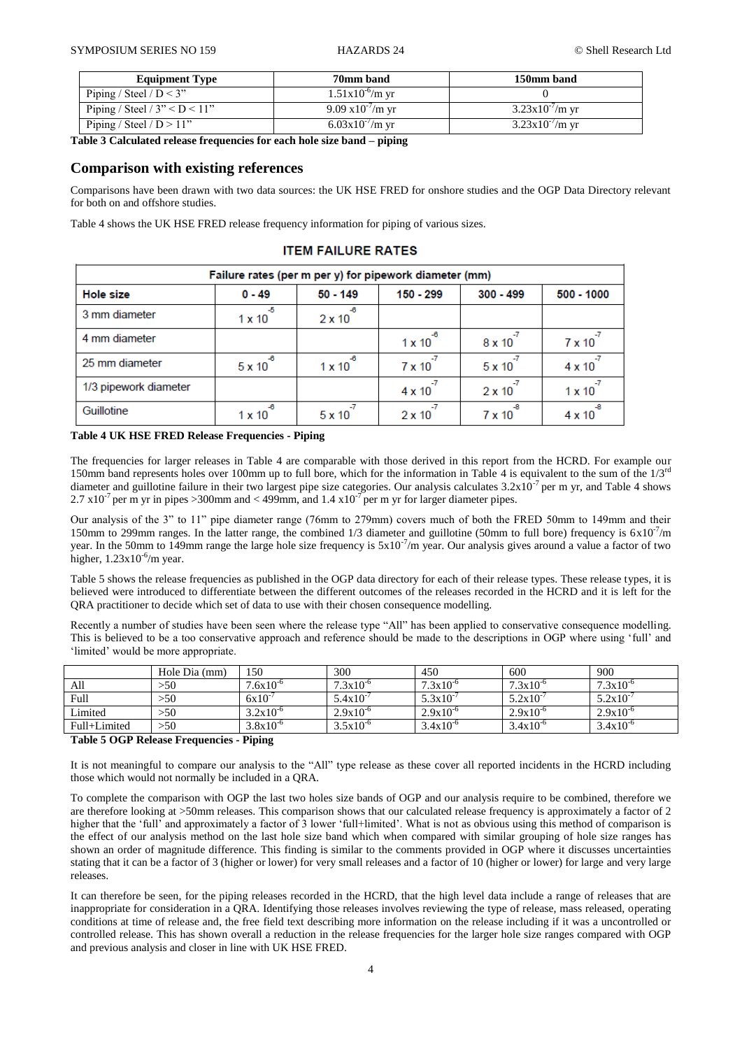| <b>Equipment Type</b>           | 70mm band                  | 150mm band           |
|---------------------------------|----------------------------|----------------------|
| Piping / Steel / $D < 3$ "      | $1.51x10^{0}$ /m yr        |                      |
| Piping / Steel / $3" < D < 11"$ | $9.09 \times 10^{-7}$ m yr | $3.23x10'/m$ yr      |
| Piping / Steel / $D > 11$ "     | $6.03x10^{-7}$ m vr        | $3.23x10^{-7}$ /m yr |

**Table 3 Calculated release frequencies for each hole size band – piping**

#### **Comparison with existing references**

Comparisons have been drawn with two data sources: the UK HSE FRED for onshore studies and the OGP Data Directory relevant for both on and offshore studies.

Table 4 shows the UK HSE FRED release frequency information for piping of various sizes.

#### Failure rates (per m per y) for pipework diameter (mm) **Hole size**  $0 - 49$  $50 - 149$  $150 - 299$  $300 - 499$  $500 - 1000$ 3 mm diameter  $1 \times 10$  $2 \times 10$ 4 mm diameter  $1 \times 10$  $7 \times 10$  $8 \times 10$ 25 mm diameter  $5 \times 10^{-7}$  $4 \times 10$  $5 \times 10^{-1}$  $1 \times 10$  $7 \times 10$ 1/3 pipework diameter  $4 \times 10^{-1}$  $2 \times 10^{-7}$  $1 \times 10$ Guillotine  $1 \times 10$  $5 \times 10$  $2 \times 10$  $7 \times 10$  $4 \times 10$

## **ITEM FAILURE RATES**

#### **Table 4 UK HSE FRED Release Frequencies - Piping**

The frequencies for larger releases in Table 4 are comparable with those derived in this report from the HCRD. For example our 150mm band represents holes over 100mm up to full bore, which for the information in Table 4 is equivalent to the sum of the  $1/3^{rd}$ diameter and guillotine failure in their two largest pipe size categories. Our analysis calculates  $3.2 \times 10^{-7}$  per m yr, and Table 4 shows 2.7  $\times 10^{-7}$  per m yr in pipes >300mm and < 499mm, and 1.4  $\times 10^{-7}$  per m yr for larger diameter pipes.

Our analysis of the 3" to 11" pipe diameter range (76mm to 279mm) covers much of both the FRED 50mm to 149mm and their 150mm to 299mm ranges. In the latter range, the combined  $1/3$  diameter and guillotine (50mm to full bore) frequency is  $6x10^{-7}/m$ year. In the 50mm to 149mm range the large hole size frequency is  $5x10^{-7}$ /m year. Our analysis gives around a value a factor of two higher,  $1.23 \times 10^{-6}$ /m year.

Table 5 shows the release frequencies as published in the OGP data directory for each of their release types. These release types, it is believed were introduced to differentiate between the different outcomes of the releases recorded in the HCRD and it is left for the QRA practitioner to decide which set of data to use with their chosen consequence modelling.

Recently a number of studies have been seen where the release type "All" has been applied to conservative consequence modelling. This is believed to be a too conservative approach and reference should be made to the descriptions in OGP where using 'full' and 'limited' would be more appropriate.

|              | Hole Dia (mm) | 150                  | 300                  | 450                  | 600                  | 900                  |
|--------------|---------------|----------------------|----------------------|----------------------|----------------------|----------------------|
| All          | >50           | $7.6x10^{-6}$        | $7.3 \times 10^{-6}$ | $7.3 \times 10^{-6}$ | $7.3 \times 10^{-6}$ | $7.3 \times 10^{-6}$ |
| Full         | >50           | 6x10                 | $5.4x10^{-7}$        | $5.3x10^{-7}$        | $5.2x10^{-7}$        | $5.2 \times 10^{-7}$ |
| Limited      | >50           | $3.2 \times 10^{-6}$ | $2.9x10^{-6}$        | $2.9x10^{-6}$        | $2.9x10^{-6}$        | $2.9x10^{-6}$        |
| Full+Limited | >50           | $3.8x10^{-6}$        | $3.5x10^{-6}$        | $3.4x10^{-6}$        | $3.4x10^{-6}$        | $3.4x10^{-6}$        |

#### **Table 5 OGP Release Frequencies - Piping**

It is not meaningful to compare our analysis to the "All" type release as these cover all reported incidents in the HCRD including those which would not normally be included in a QRA.

To complete the comparison with OGP the last two holes size bands of OGP and our analysis require to be combined, therefore we are therefore looking at >50mm releases. This comparison shows that our calculated release frequency is approximately a factor of 2 higher that the 'full' and approximately a factor of 3 lower 'full+limited'. What is not as obvious using this method of comparison is the effect of our analysis method on the last hole size band which when compared with similar grouping of hole size ranges has shown an order of magnitude difference. This finding is similar to the comments provided in OGP where it discusses uncertainties stating that it can be a factor of 3 (higher or lower) for very small releases and a factor of 10 (higher or lower) for large and very large releases.

It can therefore be seen, for the piping releases recorded in the HCRD, that the high level data include a range of releases that are inappropriate for consideration in a QRA. Identifying those releases involves reviewing the type of release, mass released, operating conditions at time of release and, the free field text describing more information on the release including if it was a uncontrolled or controlled release. This has shown overall a reduction in the release frequencies for the larger hole size ranges compared with OGP and previous analysis and closer in line with UK HSE FRED.